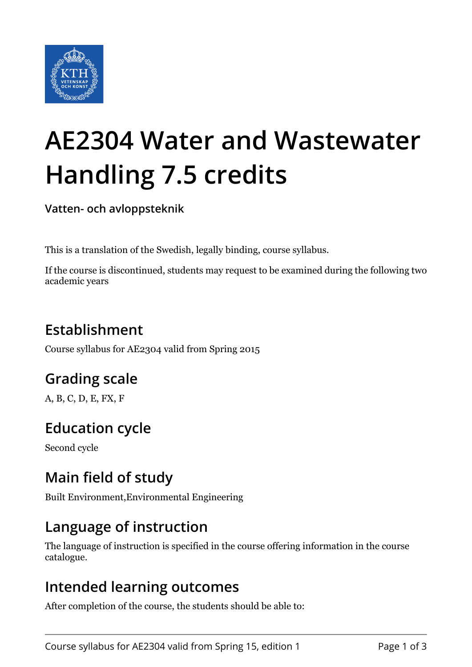

# **AE2304 Water and Wastewater Handling 7.5 credits**

**Vatten- och avloppsteknik**

This is a translation of the Swedish, legally binding, course syllabus.

If the course is discontinued, students may request to be examined during the following two academic years

# **Establishment**

Course syllabus for AE2304 valid from Spring 2015

# **Grading scale**

A, B, C, D, E, FX, F

# **Education cycle**

Second cycle

## **Main field of study**

Built Environment,Environmental Engineering

## **Language of instruction**

The language of instruction is specified in the course offering information in the course catalogue.

#### **Intended learning outcomes**

After completion of the course, the students should be able to: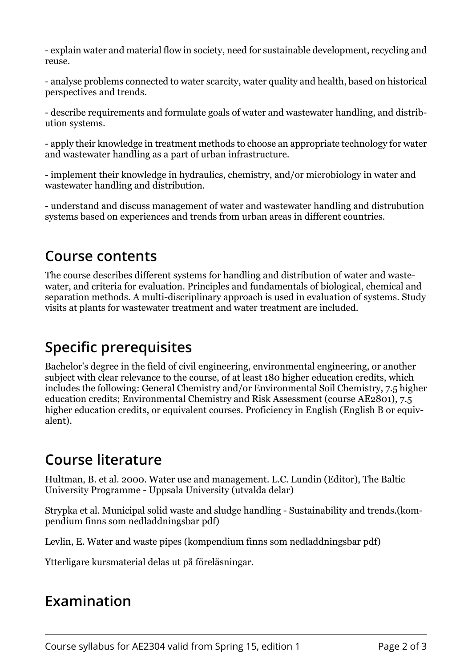- explain water and material flow in society, need for sustainable development, recycling and reuse.

- analyse problems connected to water scarcity, water quality and health, based on historical perspectives and trends.

- describe requirements and formulate goals of water and wastewater handling, and distribution systems.

- apply their knowledge in treatment methods to choose an appropriate technology for water and wastewater handling as a part of urban infrastructure.

- implement their knowledge in hydraulics, chemistry, and/or microbiology in water and wastewater handling and distribution.

- understand and discuss management of water and wastewater handling and distrubution systems based on experiences and trends from urban areas in different countries.

#### **Course contents**

The course describes different systems for handling and distribution of water and wastewater, and criteria for evaluation. Principles and fundamentals of biological, chemical and separation methods. A multi-discriplinary approach is used in evaluation of systems. Study visits at plants for wastewater treatment and water treatment are included.

## **Specific prerequisites**

Bachelor's degree in the field of civil engineering, environmental engineering, or another subject with clear relevance to the course, of at least 180 higher education credits, which includes the following: General Chemistry and/or Environmental Soil Chemistry, 7.5 higher education credits; Environmental Chemistry and Risk Assessment (course AE2801), 7.5 higher education credits, or equivalent courses. Proficiency in English (English B or equivalent).

#### **Course literature**

Hultman, B. et al. 2000. Water use and management. L.C. Lundin (Editor), The Baltic University Programme - Uppsala University (utvalda delar)

Strypka et al. Municipal solid waste and sludge handling - Sustainability and trends.(kompendium finns som nedladdningsbar pdf)

Levlin, E. Water and waste pipes (kompendium finns som nedladdningsbar pdf)

Ytterligare kursmaterial delas ut på föreläsningar.

#### **Examination**